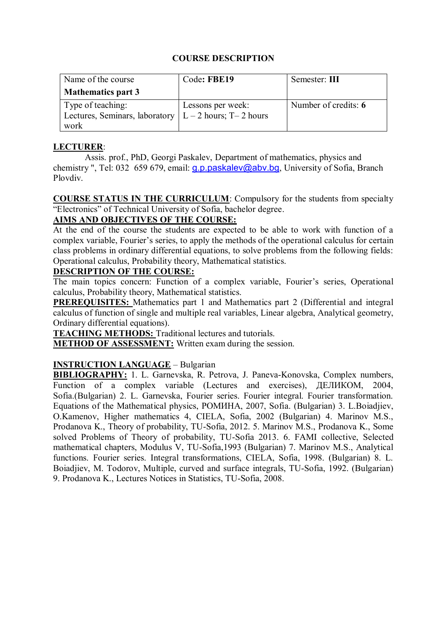# **COURSE DESCRIPTION**

| Name of the course                                       | Code: FBE19       | Semester: III        |
|----------------------------------------------------------|-------------------|----------------------|
| <b>Mathematics part 3</b>                                |                   |                      |
| Type of teaching:                                        | Lessons per week: | Number of credits: 6 |
| Lectures, Seminars, laboratory $ L - 2$ hours; T-2 hours |                   |                      |
| work                                                     |                   |                      |

# **LECTURER**:

Assis. prof., PhD, Georgi Paskalev, Department of mathematics, physics and chemistry ", Tel: 032 659 679, email: **q.p.paskalev@abv.bg**, University of Sofia, Branch Plovdiv.

**COURSE STATUS IN THE CURRICULUM**: Compulsory for the students from specialty "Electronics" of Technical University of Sofia, bachelor degree.

# **AIMS AND OBJECTIVES OF THE COURSE:**

At the end of the course the students are expected to be able to work with function of a complex variable, Fourier's series, to apply the methods of the operational calculus for certain class problems in ordinary differential equations, to solve problems from the following fields: Operational calculus, Probability theory, Mathematical statistics.

# **DESCRIPTION OF THE COURSE:**

The main topics concern: Function of a complex variable, Fourier's series, Operational calculus, Probability theory, Mathematical statistics.

**PREREQUISITES:** Mathematics part 1 and Mathematics part 2 (Differential and integral calculus of function of single and multiple real variables, Linear algebra, Analytical geometry, Ordinary differential equations).

**TEACHING METHODS:** Traditional lectures and tutorials.

**METHOD OF ASSESSMENT:** Written exam during the session.

#### **INSTRUCTION LANGUAGE** – Bulgarian

**BIBLIOGRAPHY:** 1. L. Garnevska, R. Petrova, J. Paneva-Konovska, Complex numbers, Function of a complex variable (Lectures and exercises), ДЕЛИКОМ, 2004, Sofia.(Bulgarian) 2. L. Garnevska, Fourier series. Fourier integral. Fourier transformation. Equations of the Mathematical physics, РОМИНА, 2007, Sofia. (Bulgarian) 3. L.Boiadjiev, O.Kamenov, Higher mathematics 4, CIELA, Sofia, 2002 (Bulgarian) 4. Marinov M.S., Prodanova K., Theory of probability, TU-Sofia, 2012. 5. Marinov M.S., Prodanova K., Some solved Problems of Theory of probability, TU-Sofia 2013. 6. FAMI collective, Selected mathematical chapters, Modulus V, TU-Sofia,1993 (Bulgarian) 7. Marinov M.S., Analytical functions. Fourier series. Integral transformations, CIELA, Sofia, 1998. (Bulgarian) 8. L. Boiadjiev, M. Todorov, Multiple, curved and surface integrals, TU-Sofia, 1992. (Bulgarian) 9. Prodanova K., Lectures Notices in Statistics, TU-Sofia, 2008.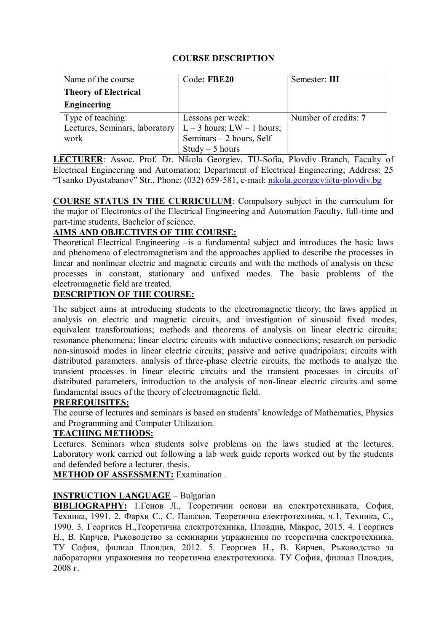# **COURSE DESCRIPTION**

| Name of the course             | Code: FBE20                | Semester: III        |
|--------------------------------|----------------------------|----------------------|
| <b>Theory of Electrical</b>    |                            |                      |
| Engineering                    |                            |                      |
| Type of teaching:              | Lessons per week:          | Number of credits: 7 |
| Lectures, Seminars, laboratory | $L-3$ hours; $LW-1$ hours; |                      |
| work                           | Seminars - 2 hours, Self   |                      |
|                                | $Study - 5 hours$          |                      |

**LECTURER**: Assoc. Prof. Dr. Nikola Georgiev, TU-Sofia, Plovdiv Branch, Faculty of Electrical Engineering and Automation; Department of Electrical Engineering; Address: 25 "Tsanko Dyustabanov" Str., Phone: (032) 659-581, e-mail: [nikola.georgiev@tu-plovdiv.bg](mailto:nikola.georgiev@tu-plovdiv.bg)

**COURSE STATUS IN THE CURRICULUM**: Compulsory subject in the curriculum for the major of Electronics of the Electrical Engineering and Automation Faculty, full-time and part-time students, Bachelor of science.

# **AIMS AND OBJECTIVES OF THE COURSE:**

Theoretical Electrical Engineering –is a fundamental subject and introduces the basic laws and phenomena of electromagnetism and the approaches applied to describe the processes in linear and nonlinear electric and magnetic circuits and with the methods of analysis on these processes in constant, stationary and unfixed modes. The basic problems of the electromagnetic field are treated.

# **DESCRIPTION OF THE COURSE:**

The subject aims at introducing students to the electromagnetic theory; the laws applied in analysis on electric and magnetic circuits, and investigation of sinusoid fixed modes, equivalent transformations; methods and theorems of analysis on linear electric circuits; resonance phenomena; linear electric circuits with inductive connections; research on periodic non-sinusoid modes in linear electric circuits; passive and active quadripolars; circuits with distributed parameters. analysis of three-phase electric circuits, the methods to analyze the transient processes in linear electric circuits and the transient processes in circuits of distributed parameters, introduction to the analysis of non-linear electric circuits and some fundamental issues of the theory of electromagnetic field.

#### **PREREQUISITES:**

The course of lectures and seminars is based on students' knowledge of Mathematics, Physics and Programming and Computer Utilization.

#### **TEACHING METHODS:**

Lectures. Seminars when students solve problems on the laws studied at the lectures. Laboratory work carried out following a lab work guide reports worked out by the students and defended before a lecturer, thesis.

**METHOD OF ASSESSMENT:** Examination .

#### **INSTRUCTION LANGUAGE** – Bulgarian

**BIBLIOGRAPHY:** 1.Генов Л., Теоретични основи на електротехниката, София, Техника, 1991. 2. Фархи С., С. Папазов. Теоретична електротехника, ч.1, Техника, С., 1990. 3. Георгиев Н.,Теоретична електротехника, Пловдив, Макрос, 2015. 4. Георгиев Н., В. Кирчев, Ръководство за семинарни упражнения по теоретична електротехника. ТУ София, филиал Пловдив, 2012. 5. Георгиев Н.**,** В. Кирчев, Ръководство за лабораторни упражнения по теоретична електротехника. ТУ София, филиал Пловдив, 2008 г.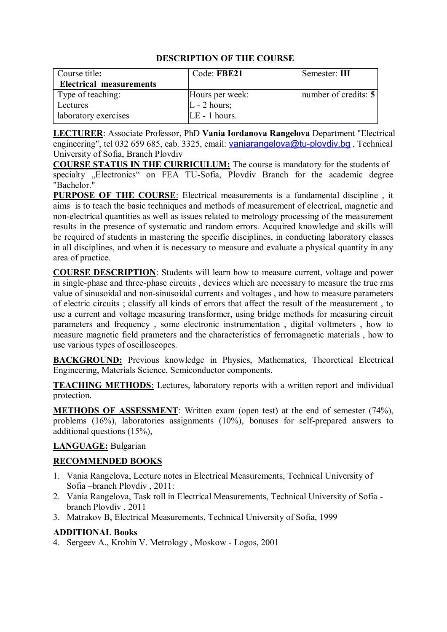| Course title:                  | Code: FBE21     | Semester: III               |
|--------------------------------|-----------------|-----------------------------|
| <b>Electrical measurements</b> |                 |                             |
| Type of teaching:              | Hours per week: | number of credits: $5 \mid$ |
| Lectures                       | $L - 2$ hours;  |                             |
| laboratory exercises           | LE - 1 hours.   |                             |

**LECTURER**: Associate Professor, PhD **Vania Iordanova Rangelova** Department "Electrical engineering", tel 032 659 685, cab. 3325, email: [vaniarangelova@tu-plovdiv.bg](mailto:vaniarangelova@tu-plovdiv.bg), Technical University of Sofia, Branch Plovdiv

**COURSE STATUS IN THE CURRICULUM:** The course is mandatory for the students of specialty "Electronics" on FEA TU-Sofia, Plovdiv Branch for the academic degree "Bachelor."

**PURPOSE OF THE COURSE**: Electrical measurements is a fundamental discipline , it aims is to teach the basic techniques and methods of measurement of electrical, magnetic and non-electrical quantities as well as issues related to metrology processing of the measurement results in the presence of systematic and random errors. Acquired knowledge and skills will be required of students in mastering the specific disciplines, in conducting laboratory classes in all disciplines, and when it is necessary to measure and evaluate a physical quantity in any area of practice.

**COURSE DESCRIPTION**: Students will learn how to measure current, voltage and power in single-phase and three-phase circuits , devices which are necessary to measure the true rms value of sinusoidal and non-sinusoidal currents and voltages , and how to measure parameters of electric circuits ; classify all kinds of errors that affect the result of the measurement , to use a current and voltage measuring transformer, using bridge methods for measuring circuit parameters and frequency , some electronic instrumentation , digital voltmeters , how to measure magnetic field prameters and the characteristics of ferromagnetic materials , how to use various types of oscilloscopes.

**BACKGROUND:** Previous knowledge in Physics, Mathematics, Theoretical Electrical Engineering, Materials Science, Semiconductor components.

**TEACHING METHODS:** Lectures, laboratory reports with a written report and individual protection.

**METHODS OF ASSESSMENT**: Written exam (open test) at the end of semester (74%), problems (16%), laboratories assignments (10%), bonuses for self-prepared answers to additional questions (15%),

# **LANGUAGE:** Bulgarian

# **RECOMMENDED BOOKS**

- 1. Vania Rangelova, Lecture notes in Electrical Measurements, Technical University of Sofia –branch Plovdiv , 2011:
- 2. Vania Rangelova, Task roll in Electrical Measurements, Technical University of Sofia branch Plovdiv , 2011
- 3. Matrakov B, Electrical Measurements, Technical University of Sofia, 1999

# **ADDITIONAL Books**

4. Sergeev А., Krohin V. Metrology , Моskow - Logos, 2001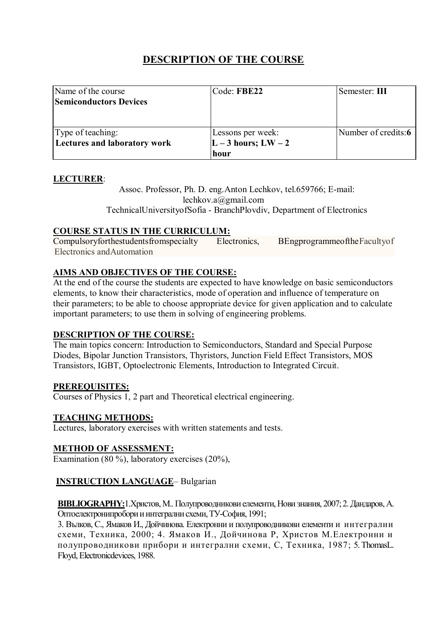| Name of the course            | Code: FBE22         | Semester: III       |
|-------------------------------|---------------------|---------------------|
| <b>Semiconductors Devices</b> |                     |                     |
|                               |                     |                     |
|                               |                     |                     |
| Type of teaching:             | Lessons per week:   | Number of credits:6 |
| Lectures and laboratory work  | $L-3$ hours; $LW-2$ |                     |
|                               | hour                |                     |

# **LECTURER**:

Assoc. Professor, Ph. D. eng.Anton Lechkov, tel.659766; E-mail: lechkov.a@gmail.com TechnicalUniversityofSofia - BranchPlovdiv, Department of Electronics

# **COURSE STATUS IN THE CURRICULUM:**

Compulsoryforthestudentsfromspecialty Electronics, BEngprogrammeoftheFacultyof Electronics andAutomation

# **AIMS AND OBJECTIVES OF THE COURSE:**

At the end of the course the students are expected to have knowledge on basic semiconductors elements, to know their characteristics, mode of operation and influence of temperature on their parameters; to be able to choose appropriate device for given application and to calculate important parameters; to use them in solving of engineering problems.

#### **DESCRIPTION OF THE COURSE:**

The main topics concern: Introduction to Semiconductors, Standard and Special Purpose Diodes, Bipolar Junction Transistors, Thyristors, Junction Field Effect Transistors, MOS Transistors, IGBT, Optoelectronic Elements, Introduction to Integrated Circuit.

#### **PREREQUISITES:**

Courses of Physics 1, 2 part and Theoretical electrical engineering.

#### **TEACHING METHODS:**

Lectures, laboratory exercises with written statements and tests.

#### **METHOD OF ASSESSMENT:**

Examination (80 %), laboratory exercises (20%),

# **INSTRUCTION LANGUAGE**– Bulgarian

**BIBLIOGRAPHY:**1.Христов, М.. Полупроводникови елементи, Нови знания, 2007; 2. Дандаров, А. Оптоелектронипробори и интегрални схеми, ТУ-София, 1991;

3. Вълков, С., Ямаков И., Дойчинова. Електронни и полупроводникови елементи и интегрални схеми, Техника, 2000; 4. Ямаков И., Дойчинова Р, Христов М.Електронни и полупроводникови прибори и интегрални схеми, С, Техника, 1987; 5. ThomasL. Floyd, Electronicdevices, 1988.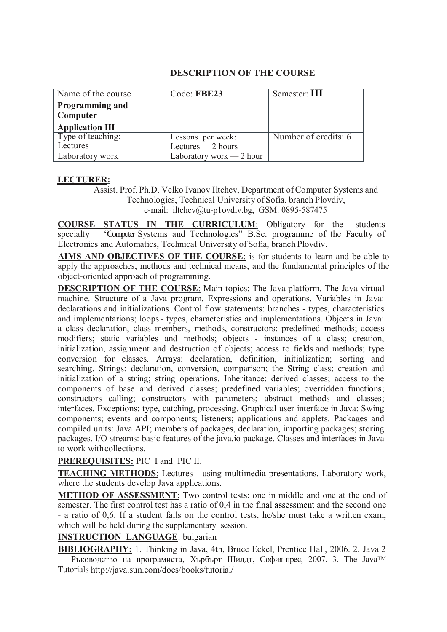| Name of the course                 | Code: FBE23              | Semester: III        |
|------------------------------------|--------------------------|----------------------|
| <b>Programming and</b><br>Computer |                          |                      |
| <b>Application III</b>             |                          |                      |
| Type of teaching:                  | Lessons per week:        | Number of credits: 6 |
| Lectures                           | Lectures $-2$ hours      |                      |
| Laboratory work                    | Laboratory work — 2 hour |                      |

#### **LECTURER:**

Assist. Prof. Ph.D. Velko Ivanov Iltchev, Department ofComputer Systems and Technologies, Technical University ofSofia, branch Plovdiv, e-mail: [iltchev@tu-p1ovdiv.bg, G](mailto:iltchev@tu-p1ovdiv.bg)SM: 0895-587475

**COURSE STATUS IN THE CURRICULUM**: Obligatory for the students specialty "Computer Systems and Technologies" B.Sc. programme of the Faculty of Electronics and Automatics, Technical University of Sofia, branch Plovdiv.

**AIMS AND OBJECTIVES OF THE COURSE**: is for students to learn and be able to apply the approaches, methods and technical means, and the fundamental principles of the object-oriented approach of programming.

**DESCRIPTION OF THE COURSE**: Main topics: The Java platform. The Java virtual machine. Structure of a Java program. Expressions and operations. Variables in Java: declarations and initializations. Control flow statements: branches - types, characteristics and implementarions; loops- types, characteristics and implementations. Objects in Java: a class declaration, class members, methods, constructors; predefined methods; access modifiers; static variables and methods; objects - instances of a class; creation, initialization, assignment and destruction of objects; access to fields and methods; type conversion for classes. Arrays: declaration, definition, initialization; sorting and searching. Strings: declaration, conversion, comparison; the String class; creation and initialization of a string; string operations. Inheritance: derived classes; access to the components of base and derived classes; predefined variables; overridden functions; constructors calling; constructors with parameters; abstract methods and classes; interfaces. Exceptions: type, catching, processing. Graphical user interface in Java: Swing components; events and components; listeners; applications and applets. Packages and compiled units: Java API; members of packages, declaration, importing packages; storing packages. I/O streams: basic features of the java.io package. Classes and interfaces in Java to work withcollections.

#### **PREREQUISITES:** PIC I and PIC II.

**TEACHING METHODS**: Lectures - using multimedia presentations. Laboratory work, where the students develop Java applications.

**METHOD OF ASSESSMENT**: Two control tests: one in middle and one at the end of semester. The first control test has a ratio of 0,4 in the final assessment and the second one - a ratio of 0,6. If a student fails on the control tests, he/she must take a written exam, which will be held during the supplementary session.

#### **INSTRUCTION LANGUAGE**: bulgarian

**BIBLIOGRAPHY:** 1. Thinking in Java, 4th, Bruce Eckel, Prentice Hall, 2006. 2. Java 2 — Ръководство на програмиста, Хърбърт Шилдт, София-прес, 2007. 3. The JavaTМ Tutorials<http://java.sun.com/docs/books/tutorial/>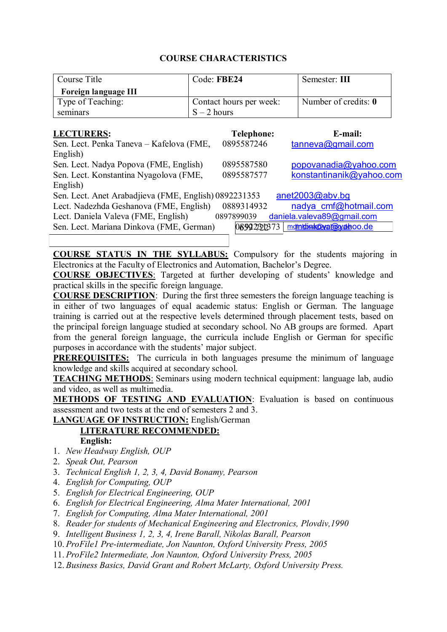| Course Title                                          | Code: FBE24   |                         | Semester: III              |
|-------------------------------------------------------|---------------|-------------------------|----------------------------|
| <b>Foreign language III</b>                           |               |                         |                            |
| Type of Teaching:                                     |               | Contact hours per week: | Number of credits: 0       |
| seminars                                              | $S - 2$ hours |                         |                            |
|                                                       |               |                         |                            |
| <b>LECTURERS:</b>                                     |               | <b>Telephone:</b>       | E-mail:                    |
| Sen. Lect. Penka Taneva – Kafelova (FME,              |               | 0895587246              | tanneva@gmail.com          |
| English)                                              |               |                         |                            |
| Sen. Lect. Nadya Popova (FME, English)                |               | 0895587580              | popovanadia@yahoo.com      |
| Sen. Lect. Konstantina Nyagolova (FME,                |               | 0895587577              | konstantinanik@yahoo.com   |
| English)                                              |               |                         |                            |
| Sen. Lect. Anet Arabadjieva (FME, English) 0892231353 |               |                         | anet2003@abv.bq            |
| Lect. Nadezhda Geshanova (FME, English)               |               | 0889314932              | nadya cmf@hotmail.com      |
| Lect. Daniela Valeva (FME, English)                   |               | 0897899039              | daniela.valeva89@gmail.com |
| Sen. Lect. Mariana Dinkova (FME, German)              |               | 08992301373             | mdinkbink@val@wdenoo.de    |

**COURSE STATUS IN THE SYLLABUS:** Compulsory for the students majoring in Electronics at the Faculty of Electronics and Automation, Bachelor's Degree.

**COURSE OBJECTIVES**: Targeted at further developing of students' knowledge and practical skills in the specific foreign language.

**COURSE DESCRIPTION**: During the first three semesters the foreign language teaching is in either of two languages of equal academic status: English or German. The language training is carried out at the respective levels determined through placement tests, based on the principal foreign language studied at secondary school. No AB groups are formed. Apart from the general foreign language, the curricula include English or German for specific purposes in accordance with the students' major subject.

**PREREQUISITES:** The curricula in both languages presume the minimum of language knowledge and skills acquired at secondary school.

**TEACHING METHODS**: Seminars using modern technical equipment: language lab, audio and video, as well as multimedia.

**METHODS OF TESTING AND EVALUATION:** Evaluation is based on continuous assessment and two tests at the end of semesters 2 and 3.

**LANGUAGE OF INSTRUCTION:** English/German **LITERATURE RECOMMENDED:** 

- **English:**
- 1. *New Headway English, OUP*
- 2. *Speak Out, Pearson*
- 3. *Technical English 1, 2, 3, 4, David Bonamy, Pearson*
- 4. *English for Computing, OUP*
- 5. *English for Electrical Engineering, OUP*
- 6. *English for Electrical Engineering, Alma Mater International, 2001*
- 7. *English for Computing, Alma Mater International, 2001*
- 8. *Reader for students of Mechanical Engineering and Electronics, Plovdiv,1990*
- 9. *Intelligent Business 1, 2, 3, 4, Irene Barall, Nikolas Barall, Pearson*
- 10. *ProFile1 Pre-intermediate, Jon Naunton, Oxford University Press, 2005*
- 11. *ProFile2 Intermediate, Jon Naunton, Oxford University Press, 2005*
- 12. *Business Basics, David Grant and Robert McLarty, Oxford University Press.*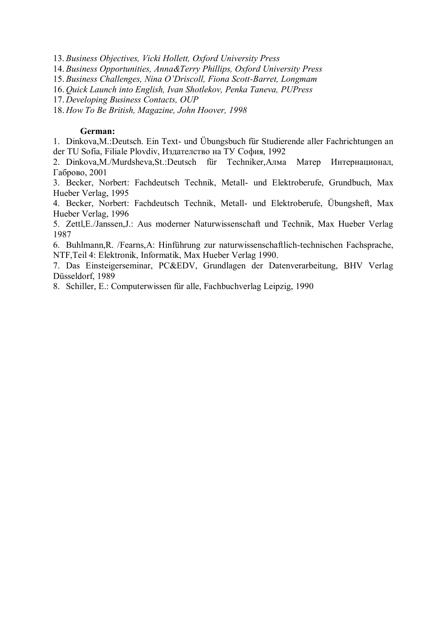13. *Business Objectives, Vicki Hollett, Oxford University Press*

14. *Business Opportunities, Anna&Terry Phillips, Oxford University Press*

15. *Business Challenges, Nina O'Driscoll, Fiona Scott-Barret, Longmam*

16. *Quick Launch into English, Ivan Shotlekov, Penka Taneva, PUPress* 

17. *Developing Business Contacts, OUP*

18. *How To Be British, Magazine, John Hoover, 1998*

#### **German:**

1. Dinkova,M.:Deutsch. Ein Text- und Übungsbuch für Studierende aller Fachrichtungen an der TU Sofia, Filiale Plovdiv, Издателство на ТУ София, 1992

2. Dinkova,M./Murdsheva,St.:Deutsch für Techniker,Алма Матер Интернационал, Габрово, 2001

3. Becker, Norbert: Fachdeutsch Technik, Metall- und Elektroberufe, Grundbuch, Max Hueber Verlag, 1995

4. Becker, Norbert: Fachdeutsch Technik, Metall- und Elektroberufe, Übungsheft, Max Hueber Verlag, 1996

5. Zettl,E./Janssen,J.: Aus moderner Naturwissenschaft und Technik, Max Hueber Verlag 1987

6. Buhlmann,R. /Fearns,A: Hinführung zur naturwissenschaftlich-technischen Fachsprache, NTF,Teil 4: Elektronik, Informatik, Max Hueber Verlag 1990.

7. Das Einsteigerseminar, PC&EDV, Grundlagen der Datenverarbeitung, BHV Verlag Düsseldorf, 1989

8. Schiller, E.: Computerwissen für alle, Fachbuchverlag Leipzig, 1990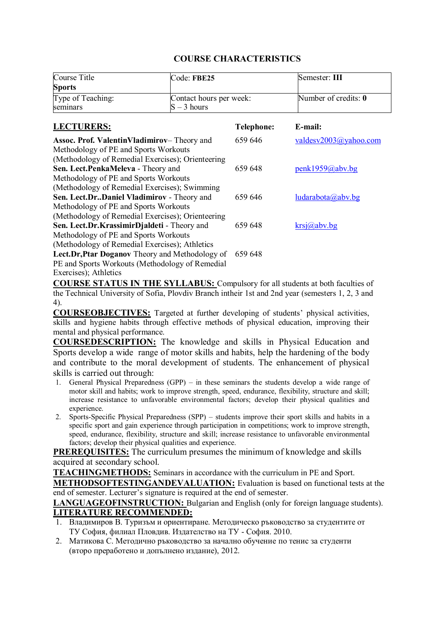| Course Title                                       | Code: FBE25             |                   | Semester: III             |
|----------------------------------------------------|-------------------------|-------------------|---------------------------|
| <b>Sports</b>                                      |                         |                   |                           |
| Type of Teaching:                                  | Contact hours per week: |                   | Number of credits: 0      |
| seminars                                           | $S - 3$ hours           |                   |                           |
| <b>LECTURERS:</b>                                  |                         | <b>Telephone:</b> | E-mail:                   |
| <b>Assoc. Prof. ValentinVladimirov–</b> Theory and |                         | 659 646           | valdesv $2003$ @yahoo.com |
| Methodology of PE and Sports Workouts              |                         |                   |                           |
| (Methodology of Remedial Exercises); Orienteering  |                         |                   |                           |
| Sen. Lect.PenkaMeleva - Theory and                 |                         | 659 648           | penk1959@abv.bg           |
| Methodology of PE and Sports Workouts              |                         |                   |                           |
| (Methodology of Remedial Exercises); Swimming      |                         |                   |                           |
| Sen. Lect.DrDaniel Vladimirov - Theory and         |                         | 659 646           | ludarabota(a)abv.bg       |
| Methodology of PE and Sports Workouts              |                         |                   |                           |
| (Methodology of Remedial Exercises); Orienteering  |                         |                   |                           |
| Sen. Lect.Dr.KrassimirDjaldeti - Theory and        |                         | 659 648           | $krsj(a)$ abv.bg          |
| Methodology of PE and Sports Workouts              |                         |                   |                           |
| (Methodology of Remedial Exercises); Athletics     |                         |                   |                           |
| Lect.Dr, Ptar Doganov Theory and Methodology of    |                         | 659 648           |                           |
| PE and Sports Workouts (Methodology of Remedial    |                         |                   |                           |
| Exercises); Athletics                              |                         |                   |                           |

**COURSE STATUS IN THE SYLLABUS:** Compulsory for all students at both faculties of the Technical University of Sofia, Plovdiv Branch intheir 1st and 2nd year (semesters 1, 2, 3 and 4).

**COURSEOBJECTIVES:** Targeted at further developing of students' physical activities, skills and hygiene habits through effective methods of physical education, improving their mental and physical performance.

**COURSEDESCRIPTION:** The knowledge and skills in Physical Education and Sports develop a wide range of motor skills and habits, help the hardening of the body and contribute to the moral development of students. The enhancement of physical skills is carried out through:

- 1. General Physical Preparedness (GPP) in these seminars the students develop a wide range of motor skill and habits; work to improve strength, speed, endurance, flexibility, structure and skill; increase resistance to unfavorable environmental factors; develop their physical qualities and experience.
- 2. Sports-Specific Physical Preparedness (SPP) students improve their sport skills and habits in a specific sport and gain experience through participation in competitions; work to improve strength, speed, endurance, flexibility, structure and skill; increase resistance to unfavorable environmental factors; develop their physical qualities and experience.

**PREREQUISITES:** The curriculum presumes the minimum of knowledge and skills acquired at secondary school.

**TEACHINGMETHODS:** Seminars in accordance with the curriculum in PE and Sport.

**METHODSOFTESTINGANDEVALUATION:** Evaluation is based on functional tests at the end of semester. Lecturer's signature is required at the end of semester.

**LANGUAGEOFINSTRUCTION:** Bulgarian and English (only for foreign language students). **LITERATURE RECOMMENDED:**

- 1. Владимиров В. Туризъм и ориентиране. Методическо ръководство за студентите от ТУ София, филиал Пловдив. Издателство на ТУ - София. 2010.
- 2. Матикова С. Методично ръководство за начално обучение по тенис за студенти (второ преработено и допълнено издание), 2012.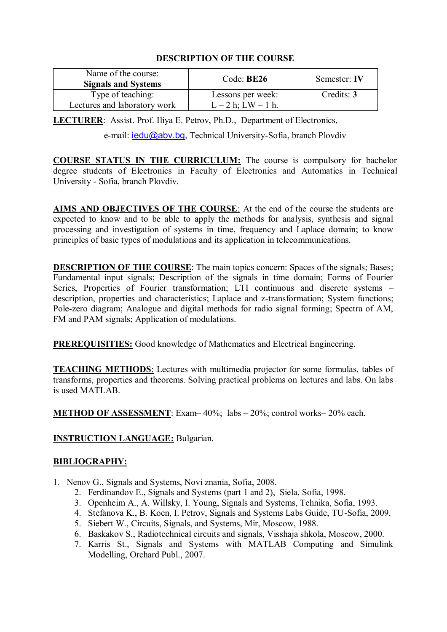| Name of the course:<br><b>Signals and Systems</b> | Code: BE26                                    | Semester: IV |
|---------------------------------------------------|-----------------------------------------------|--------------|
| Type of teaching:<br>Lectures and laboratory work | Lessons per week:<br>$L - 2 h$ ; $LW - 1 h$ . | Credits: 3   |

**LECTURER**: Assist. Prof. Iliya E. Petrov, Ph.D., Department of Electronics,

e-mail: [iedu@abv.bg](mailto:iedu@abv.bg), Technical University-Sofia, branch Plovdiv

**COURSE STATUS IN THE CURRICULUM:** The course is compulsory for bachelor degree students of Electronics in Faculty of Electronics and Automatics in Technical University - Sofia, branch Plovdiv.

**AIMS AND OBJECTIVES OF THE COURSE**: At the end of the course the students are expected to know and to be able to apply the methods for analysis, synthesis and signal processing and investigation of systems in time, frequency and Laplace domain; to know principles of basic types of modulations and its application in telecommunications.

**DESCRIPTION OF THE COURSE**: The main topics concern: Spaces of the signals; Bases; Fundamental input signals; Description of the signals in time domain; Forms of Fourier Series, Properties of Fourier transformation; LTI continuous and discrete systems – description, properties and characteristics; Laplace and z-transformation; System functions; Pole-zero diagram; Analogue and digital methods for radio signal forming; Spectra of AM, FM and PAM signals; Application of modulations.

**PREREQUISITIES:** Good knowledge of Mathematics and Electrical Engineering.

**TEACHING METHODS**: Lectures with multimedia projector for some formulas, tables of transforms, properties and theorems. Solving practical problems on lectures and labs. On labs is used MATLAB.

**METHOD OF ASSESSMENT**: Exam–40%; labs – 20%; control works–20% each.

# **INSTRUCTION LANGUAGE:** Bulgarian.

# **BIBLIOGRAPHY:**

- 1. Nenov G., Signals and Systems, Novi znania, Sofia, 2008.
	- 2. Ferdinandov E., Signals and Systems (part 1 and 2), Siela, Sofia, 1998.
	- 3. Openheim A., A. Willsky, I. Young, Signals and Systems, Tehnika, Sofia, 1993.
	- 4. Stefanova K., B. Koen, I. Petrov, Signals and Systems Labs Guide, TU-Sofia, 2009.
	- 5. Siebert W., Circuits, Signals, and Systems, Mir, Moscow, 1988.
	- 6. Baskakov S., Radiotechnical circuits and signals, Visshaja shkola, Moscow, 2000.
	- 7. Karris St., Signals and Systems with MATLAB Computing and Simulink Modelling, Orchard Publ., 2007.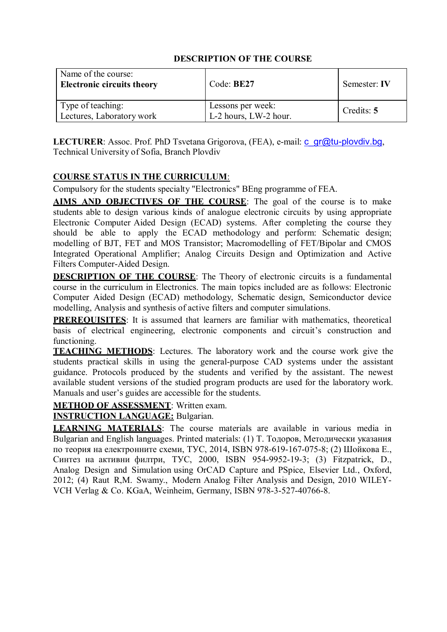| Name of the course:<br><b>Electronic circuits theory</b> | Code: BE27                                 | Semester: IV |
|----------------------------------------------------------|--------------------------------------------|--------------|
| Type of teaching:<br>Lectures, Laboratory work           | Lessons per week:<br>L-2 hours, LW-2 hour. | Credits: 5   |

**LECTURER:** Assoc. Prof. PhD Tsvetana Grigorova, (FEA), e-mail: [c\\_gr@tu-plovdiv.bg](mailto:c_gr@tu-plovdiv.bg), Technical University of Sofia, Branch Plovdiv

# **COURSE STATUS IN THE CURRICULUM**:

Compulsory for the students specialty "Electronics" BEng programme of FEA.

**AIMS AND OBJECTIVES OF THE COURSE**: The goal of the course is to make students able to design various kinds of analogue electronic circuits by using appropriate Electronic Computer Aided Design (ECAD) systems. After completing the course they should be able to apply the ECAD methodology and perform: Schematic design; modelling of BJT, FET and MOS Transistor; Macromodelling of FET/Bipolar and CMOS Integrated Operational Amplifier; Analog Circuits Design and Optimization and Active Filters Computer-Aided Design.

**DESCRIPTION OF THE COURSE:** The Theory of electronic circuits is a fundamental course in the curriculum in Electronics. The main topics included are as follows: Electronic Computer Aided Design (ECAD) methodology, Schematic design, Semiconductor device modelling, Analysis and synthesis of active filters and computer simulations.

**PREREQUISITES:** It is assumed that learners are familiar with mathematics, theoretical basis of electrical engineering, electronic components and circuit's construction and functioning.

**TEACHING METHODS**: Lectures. The laboratory work and the course work give the students practical skills in using the general-purpose CAD systems under the assistant guidance. Protocols produced by the students and verified by the assistant. The newest available student versions of the studied program products are used for the laboratory work. Manuals and user's guides are accessible for the students.

**METHOD OF ASSESSMENT**: Written exam.

**INSTRUCTION LANGUAGE:** Bulgarian.

**LEARNING MATERIALS**: The course materials are available in various media in Bulgarian and English languages. Printed materials: (1) Т. Тодоров, Методически указания по теория на електронните схеми, ТУС, 2014, ISBN 978-619-167-075-8; (2) Шойкова Е., Синтез на активни филтри, ТУС, 2000, ISBN 954-9952-19-3; (3) Fitzpatrick, D., Analog Design and Simulation using OrCAD Capture and PSpice, Elsevier Ltd., Oxford, 2012; (4) Raut R,M. Swamy., Modern Analog Filter Analysis and Design, 2010 WILEY-VCH Verlag & Co. KGaA, Weinheim, Germany, ISBN 978-3-527-40766-8.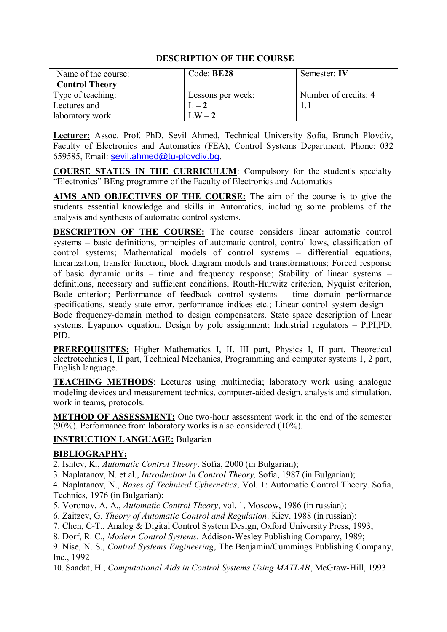| Name of the course:   | Code: BE28        | Semester: IV         |
|-----------------------|-------------------|----------------------|
| <b>Control Theory</b> |                   |                      |
| Type of teaching:     | Lessons per week: | Number of credits: 4 |
| Lectures and          | $L-2$             |                      |
| laboratory work       | $LW-2$            |                      |

**Lecturer:** Assoc. Prof. PhD. Sevil Ahmed, Technical University Sofia, Branch Plovdiv, Faculty of Electronics and Automatics (FEA), Control Systems Department, Phone: 032 659585, Email: [sevil.ahmed@tu-plovdiv.bg](mailto:sevil.ahmed@tu-plovdiv.bg).

**COURSE STATUS IN THE CURRICULUM**: Compulsory for the student's specialty "Electronics" BEng programme of the Faculty of Electronics and Automatics

**AIMS AND OBJECTIVES OF THE COURSE:** The aim of the course is to give the students essential knowledge and skills in Automatics, including some problems of the analysis and synthesis of automatic control systems.

**DESCRIPTION OF THE COURSE:** The course considers linear automatic control systems – basic definitions, principles of automatic control, control lows, classification of control systems; Mathematical models of control systems – differential equations, linearization, transfer function, block diagram models and transformations; Forced response of basic dynamic units – time and frequency response; Stability of linear systems – definitions, necessary and sufficient conditions, Routh-Hurwitz criterion, Nyquist criterion, Bode criterion; Performance of feedback control systems – time domain performance specifications, steady-state error, performance indices etc.; Linear control system design – Bode frequency-domain method to design compensators. State space description of linear systems. Lyapunov equation. Design by pole assignment; Industrial regulators – P,PI,PD, PID.

**PREREQUISITES:** Higher Mathematics I, II, III part, Physics I, II part, Theoretical electrotechnics I, II part, Technical Mechanics, Programming and computer systems 1, 2 part, English language.

**TEACHING METHODS**: Lectures using multimedia; laboratory work using analogue modeling devices and measurement technics, computer-aided design, analysis and simulation, work in teams, protocols.

**METHOD OF ASSESSMENT:** One two-hour assessment work in the end of the semester (90%). Performance from laboratory works is also considered (10%).

#### **INSTRUCTION LANGUAGE:** Bulgarian

#### **BIBLIOGRAPHY:**

2. Ishtev, K., *Automatic Control Theory*. Sofia, 2000 (in Bulgarian);

3. Naplatanov, N. et al., *Introduction in Control Theory,* Sofia, 1987 (in Bulgarian);

4. Naplatanov, N., *Bases of Technical Cybernetics*, Vol. 1: Automatic Control Theory. Sofia, Technics, 1976 (in Bulgarian);

5. Voronov, A. A., *Automatic Control Theory*, vol. 1, Moscow, 1986 (in russian);

6. Zaitzev, G. *Theory of Automatic Control and Regulation*. Kiev, 1988 (in russian);

7. Chen, C-T., Analog & Digital Control System Design, Oxford University Press, 1993;

8. Dorf, R. C., *Modern Control Systems*. Addison-Wesley Publishing Company, 1989;

9. Nise, N. S., *Control Systems Engineering*, The Benjamin/Cummings Publishing Company, Inc., 1992

10. Saadat, H., *Computational Aids in Control Systems Using MATLAB*, McGraw-Hill, 1993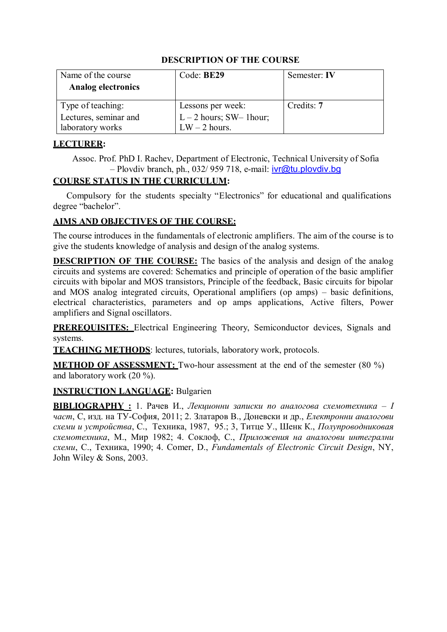| Name of the course        | Code: BE29                | Semester: IV |
|---------------------------|---------------------------|--------------|
| <b>Analog electronics</b> |                           |              |
| Type of teaching:         | Lessons per week:         | Credits: 7   |
| Lectures, seminar and     | $L - 2$ hours; SW-1 hour; |              |
| laboratory works          | $LW - 2$ hours.           |              |

# **LECTURER:**

Assoc. Prof. PhD I. Rachev, Department of Electronic, Technical University of Sofia  $-$  Plovdiv branch, ph., 032/ 959 718, e-mail:  $\frac{i}{\sqrt{a}}$ tu.plovdiv.bg

# **COURSE STATUS IN THE CURRICULUM:**

Compulsory for the students specialty "Electronics" for educational and qualifications degree "bachelor".

# **AIMS AND OBJECTIVES OF THE COURSE:**

The course introduces in the fundamentals of electronic amplifiers. The aim of the course is to give the students knowledge of analysis and design of the analog systems.

**DESCRIPTION OF THE COURSE:** The basics of the analysis and design of the analog circuits and systems are covered: Schematics and principle of operation of the basic amplifier circuits with bipolar and MOS transistors, Principle of the feedback, Basic circuits for bipolar and MOS analog integrated circuits, Operational amplifiers (op amps) – basic definitions, electrical characteristics, parameters and op amps applications, Active filters, Power amplifiers and Signal oscillators.

**PREREQUISITES:** Electrical Engineering Theory, Semiconductor devices, Signals and systems.

**TEACHING METHODS**: lectures, tutorials, laboratory work, protocols.

**METHOD OF ASSESSMENT:** Two-hour assessment at the end of the semester (80 %) and laboratory work (20 %).

# **INSTRUCTION LANGUAGE:** Bulgarien

**BIBLIOGRAPHY :** 1. Рачев И., *Лекционни записки по аналогова схемотехника – I част*, С, изд. на ТУ-София, 2011; 2. Златаров В., Доневски и др., *Електронни аналогови схеми и устройства*, С., Техника, 1987, 95.; 3, Титце У., Шенк К., *Полупроводниковая схемотехника*, М., Мир 1982; 4. Соклоф, С., *Приложения на аналогови интегрални схеми*, С., Техника, 1990; 4. Comer, D., *Fundamentals of Electronic Circuit Design*, NY, John Wiley & Sons, 2003.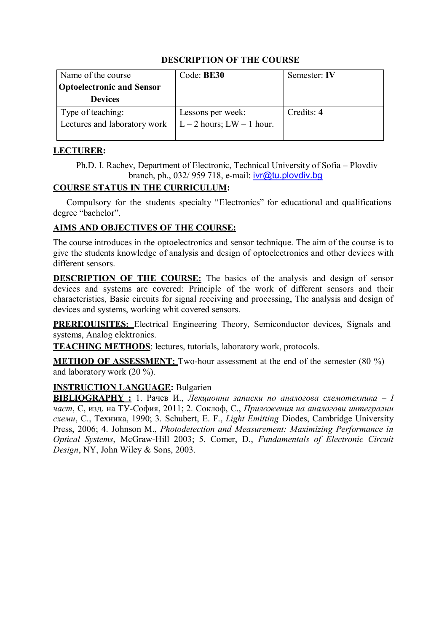| Name of the course               | Code: BE30                    | Semester: IV |
|----------------------------------|-------------------------------|--------------|
| <b>Optoelectronic and Sensor</b> |                               |              |
| <b>Devices</b>                   |                               |              |
| Type of teaching:                | Lessons per week:             | Credits: 4   |
| Lectures and laboratory work     | $L - 2$ hours; $LW - 1$ hour. |              |
|                                  |                               |              |

#### **LECTURER:**

Ph.D. I. Rachev, Department of Electronic, Technical University of Sofia – Plovdiv branch, ph., 032/ 959 718, e-mail: [ivr@tu.plovdiv.bg](mailto:ivr@tu.plovdiv.bg)

# **COURSE STATUS IN THE CURRICULUM:**

Compulsory for the students specialty "Electronics" for educational and qualifications degree "bachelor".

# **AIMS AND OBJECTIVES OF THE COURSE:**

The course introduces in the optoelectronics and sensor technique. The aim of the course is to give the students knowledge of analysis and design of optoelectronics and other devices with different sensors.

**DESCRIPTION OF THE COURSE:** The basics of the analysis and design of sensor devices and systems are covered: Principle of the work of different sensors and their characteristics, Basic circuits for signal receiving and processing, The analysis and design of devices and systems, working whit covered sensors.

**PREREQUISITES:** Electrical Engineering Theory, Semiconductor devices, Signals and systems, Analog elektronics.

**TEACHING METHODS**: lectures, tutorials, laboratory work, protocols.

**METHOD OF ASSESSMENT:** Two-hour assessment at the end of the semester (80 %) and laboratory work (20 %).

# **INSTRUCTION LANGUAGE:** Bulgarien

**BIBLIOGRAPHY :** 1. Рачев И., *Лекционни записки по аналогова схемотехника – I част*, С, изд. на ТУ-София, 2011; 2. Соклоф, С., *Приложения на аналогови интегрални схеми*, С., Техника, 1990; 3. Schubert, E. F., *Light Emitting* Diodes, Cambridge University Press, 2006; 4. Johnson M., *Photodetection and Measurement: Maximizing Performance in Optical Systems*, McGraw-Hill 2003; 5. Comer, D., *Fundamentals of Electronic Circuit Design*, NY, John Wiley & Sons, 2003.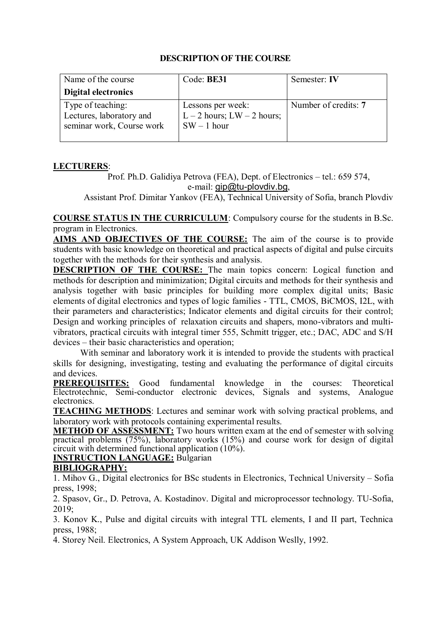| Name of the course                                                         | Code: BE31                                                           | Semester: IV         |
|----------------------------------------------------------------------------|----------------------------------------------------------------------|----------------------|
| Digital electronics                                                        |                                                                      |                      |
| Type of teaching:<br>Lectures, laboratory and<br>seminar work, Course work | Lessons per week:<br>$L - 2$ hours; $LW - 2$ hours;<br>$SW - 1$ hour | Number of credits: 7 |

# **LECTURERS**:

Prof. Ph.D. Galidiya Petrova (FEA), Dept. of Electronics – tel.: 659 574, e-mail: [gip@tu-plovdiv.bg](mailto:gip@tu-plovdiv.bg),

Assistant Prof. Dimitar Yankov (FEA), Technical University of Sofia, branch Plovdiv

**COURSE STATUS IN THE CURRICULUM**: Compulsory course for the students in B.Sc. program in Electronics.

**AIMS AND OBJECTIVES OF THE COURSE:** The aim of the course is to provide students with basic knowledge on theoretical and practical aspects of digital and pulse circuits together with the methods for their synthesis and analysis.

**DESCRIPTION OF THE COURSE:** The main topics concern: Logical function and methods for description and minimization; Digital circuits and methods for their synthesis and analysis together with basic principles for building more complex digital units; Basic elements of digital electronics and types of logic families - TTL, CMOS, BiCMOS, I2L, with their parameters and characteristics; Indicator elements and digital circuits for their control; Design and working principles of relaxation circuits and shapers, mono-vibrators and multivibrators, practical circuits with integral timer 555, Schmitt trigger, etc.; DAC, ADC and S/H devices – their basic characteristics and operation;

With seminar and laboratory work it is intended to provide the students with practical skills for designing, investigating, testing and evaluating the performance of digital circuits and devices.

**PREREQUISITES:** Good fundamental knowledge in the courses: Theoretical Electrotechnic, Semi-conductor electronic devices, Signals and systems, Analogue electronics.

**TEACHING METHODS**: Lectures and seminar work with solving practical problems, and laboratory work with protocols containing experimental results.

**METHOD OF ASSESSMENT:** Two hours written exam at the end of semester with solving practical problems (75%), laboratory works (15%) and course work for design of digital circuit with determined functional application (10%).

# **INSTRUCTION LANGUAGE:** Bulgarian

# **BIBLIOGRAPHY:**

1. Mihov G., Digital electronics for BSc students in Electronics, Technical University – Sofia press, 1998;

2. Spasov, Gr., D. Petrova, A. Kostadinov. Digital and microprocessor technology. TU-Sofia, 2019;

3. Konov K., Pulse and digital circuits with integral TTL elements, I and II part, Technica press, 1988;

4. Storey Neil. Electronics, A System Approach, UK Addison Weslly, 1992.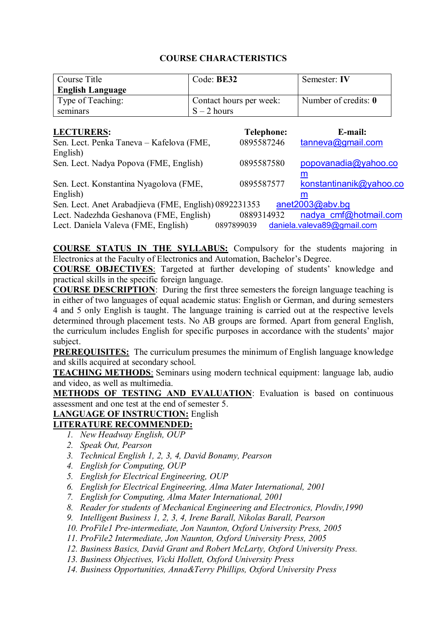| Contact hours per week: | Number of credits: 0        |
|-------------------------|-----------------------------|
|                         |                             |
|                         |                             |
|                         | $S - 2$ hours<br><b>. .</b> |

| <b>LECTURERS:</b>                                     | <b>Telephone:</b> | E-mail:                    |
|-------------------------------------------------------|-------------------|----------------------------|
| Sen. Lect. Penka Taneva - Kafelova (FME,              | 0895587246        | tanneva@gmail.com          |
| English)                                              |                   |                            |
| Sen. Lect. Nadya Popova (FME, English)                | 0895587580        | popovanadia@yahoo.co       |
|                                                       |                   | m                          |
| Sen. Lect. Konstantina Nyagolova (FME,                | 0895587577        | konstantinanik@yahoo.co    |
| English)                                              |                   | m                          |
| Sen. Lect. Anet Arabadjieva (FME, English) 0892231353 |                   | anet2003@abv.bg            |
| Lect. Nadezhda Geshanova (FME, English)               | 0889314932        | nadya cmf@hotmail.com      |
| Lect. Daniela Valeva (FME, English)                   | 0897899039        | daniela.valeva89@gmail.com |

**COURSE STATUS IN THE SYLLABUS:** Compulsory for the students majoring in Electronics at the Faculty of Electronics and Automation, Bachelor's Degree.

**COURSE OBJECTIVES**: Targeted at further developing of students' knowledge and practical skills in the specific foreign language.

**COURSE DESCRIPTION**: During the first three semesters the foreign language teaching is in either of two languages of equal academic status: English or German, and during semesters 4 and 5 only English is taught. The language training is carried out at the respective levels determined through placement tests. No AB groups are formed. Apart from general English, the curriculum includes English for specific purposes in accordance with the students' major subject.

**PREREQUISITES:** The curriculum presumes the minimum of English language knowledge and skills acquired at secondary school.

**TEACHING METHODS**: Seminars using modern technical equipment: language lab, audio and video, as well as multimedia.

**METHODS OF TESTING AND EVALUATION**: Evaluation is based on continuous assessment and one test at the end of semester 5.

#### **LANGUAGE OF INSTRUCTION:** English

#### **LITERATURE RECOMMENDED:**

- *1. New Headway English, OUP*
- *2. Speak Out, Pearson*
- *3. Technical English 1, 2, 3, 4, David Bonamy, Pearson*
- *4. English for Computing, OUP*
- *5. English for Electrical Engineering, OUP*
- *6. English for Electrical Engineering, Alma Mater International, 2001*
- *7. English for Computing, Alma Mater International, 2001*
- *8. Reader for students of Mechanical Engineering and Electronics, Plovdiv,1990*
- *9. Intelligent Business 1, 2, 3, 4, Irene Barall, Nikolas Barall, Pearson*
- *10. ProFile1 Pre-intermediate, Jon Naunton, Oxford University Press, 2005*
- *11. ProFile2 Intermediate, Jon Naunton, Oxford University Press, 2005*
- *12. Business Basics, David Grant and Robert McLarty, Oxford University Press.*
- *13. Business Objectives, Vicki Hollett, Oxford University Press*
- *14. Business Opportunities, Anna&Terry Phillips, Oxford University Press*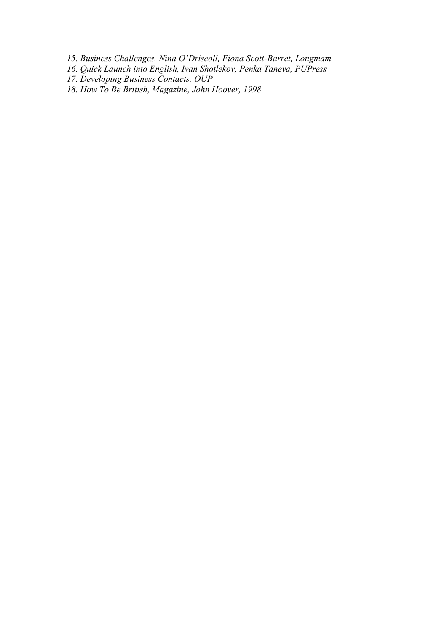- *15. Business Challenges, Nina O'Driscoll, Fiona Scott-Barret, Longmam*
- *16. Quick Launch into English, Ivan Shotlekov, Penka Taneva, PUPress*
- *17. Developing Business Contacts, OUP*
- *18. How To Be British, Magazine, John Hoover, 1998*